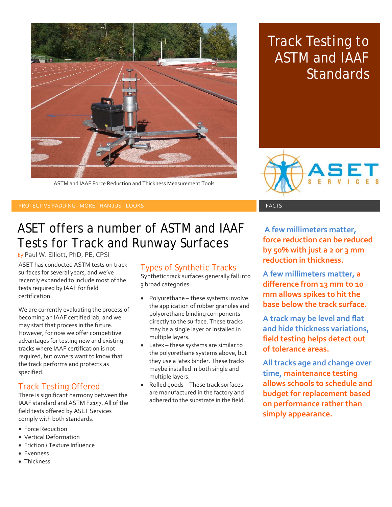

ASTM and IAAF Force Reduction and Thickness Measurement Tools

## Track Testing to ASTM and IAAF **Standards**



PROTECTIVE PADDING - MORE THAN JUST LOOKS FACTS FACTS FACTS FACTS

### ASET offers a number of ASTM and IAAF Tests for Track and Runway Surfaces

by Paul W. Elliott, PhD, PE, CPSI

ASET has conducted ASTM tests on track surfaces for several years, and we've recently expanded to include most of the tests required by IAAF for field certification.

We are currently evaluating the process of becoming an IAAF certified lab, and we may start that process in the future. However, for now we offer competitive advantages for testing new and existing tracks where IAAF certification is not required, but owners want to know that the track performs and protects as specified.

### Track Testing Offered

There is significant harmony between the IAAF standard and ASTM F2157. All of the field tests offered by ASET Services comply with both standards.

- Force Reduction
- Vertical Deformation
- Friction / Texture Influence
- Evenness
- Thickness

### Types of Synthetic Tracks

Synthetic track surfaces generally fall into 3 broad categories:

- Polyurethane these systems involve the application of rubber granules and polyurethane binding components directly to the surface. These tracks may be a single layer or installed in multiple layers.
- Latex these systems are similar to the polyurethane systems above, but they use a latex binder. These tracks maybe installed in both single and multiple layers.
- Rolled goods These track surfaces are manufactured in the factory and adhered to the substrate in the field.

**A few millimeters matter, force reduction can be reduced by 50% with just a 2 or 3 mm reduction in thickness.** 

**A few millimeters matter, a difference from 13 mm to 10 mm allows spikes to hit the base below the track surface.**

**A track may be level and flat and hide thickness variations, field testing helps detect out of tolerance areas.**

**All tracks age and change over time, maintenance testing allows schools to schedule and budget for replacement based on performance rather than simply appearance.**